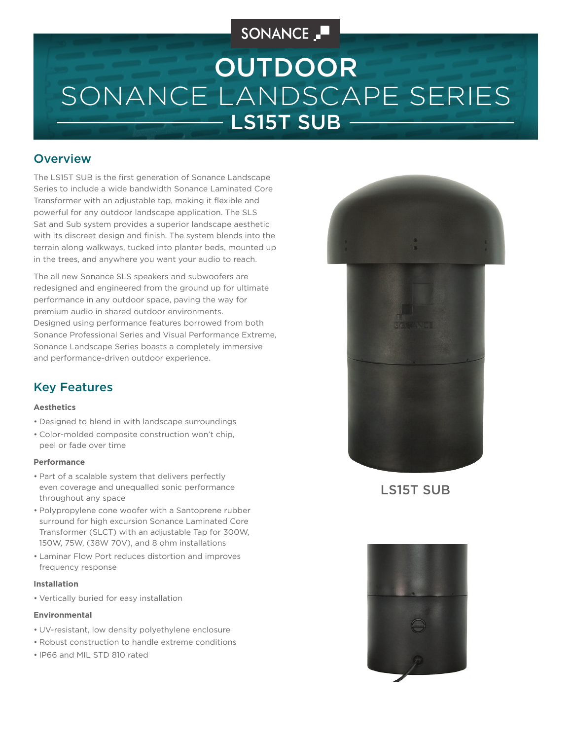# SONANCE \_

# SONANCE LANDSCAPE SERIES LS15T SUB OUTDOOR

### **Overview**

The LS15T SUB is the first generation of Sonance Landscape Series to include a wide bandwidth Sonance Laminated Core Transformer with an adjustable tap, making it flexible and powerful for any outdoor landscape application. The SLS Sat and Sub system provides a superior landscape aesthetic with its discreet design and finish. The system blends into the terrain along walkways, tucked into planter beds, mounted up in the trees, and anywhere you want your audio to reach.

The all new Sonance SLS speakers and subwoofers are redesigned and engineered from the ground up for ultimate performance in any outdoor space, paving the way for premium audio in shared outdoor environments. Designed using performance features borrowed from both Sonance Professional Series and Visual Performance Extreme, Sonance Landscape Series boasts a completely immersive and performance-driven outdoor experience.

### Key Features

#### **Aesthetics**

- Designed to blend in with landscape surroundings
- Color-molded composite construction won't chip, peel or fade over time

#### **Performance**

- Part of a scalable system that delivers perfectly even coverage and unequalled sonic performance throughout any space
- Polypropylene cone woofer with a Santoprene rubber surround for high excursion Sonance Laminated Core Transformer (SLCT) with an adjustable Tap for 300W, 150W, 75W, (38W 70V), and 8 ohm installations
- Laminar Flow Port reduces distortion and improves frequency response

#### **Installation**

• Vertically buried for easy installation

#### **Environmental**

- UV-resistant, low density polyethylene enclosure
- Robust construction to handle extreme conditions
- IP66 and MIL STD 810 rated



LS15T SUB